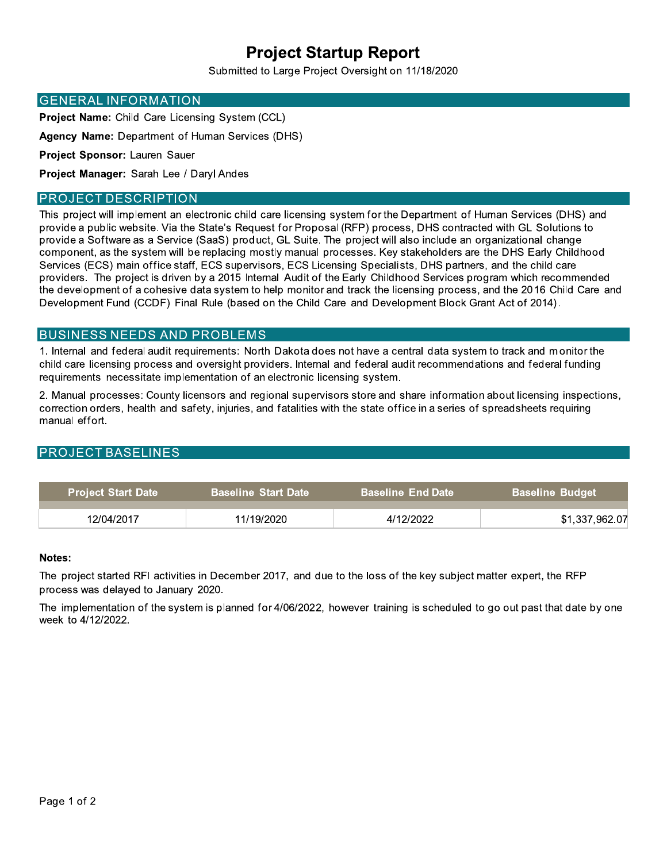# **Project Startup Report**

Submitted to Large Project Oversight on 11/18/2020

#### **GENERAL INFORMATION**

**Project Name:** Child Care Licensing System (CCL)

Agency Name: Department of Human Services (DHS)

Project Sponsor: Lauren Sauer

Project Manager: Sarah Lee / Daryl Andes

#### **PROJECT DESCRIPTION**

This project will implement an electronic child care licensing system for the Department of Human Services (DHS) and provide a public website. Via the State's Request for Proposal (RFP) process, DHS contracted with GL Solutions to provide a Software as a Service (SaaS) product, GL Suite. The project will also include an organizational change component, as the system will be replacing mostly manual processes. Key stakeholders are the DHS Early Childhood Services (ECS) main office staff, ECS supervisors, ECS Licensing Specialists, DHS partners, and the child care providers. The project is driven by a 2015 Internal Audit of the Early Childhood Services program which recommended the development of a cohesive data system to help monitor and track the licensing process, and the 2016 Child Care and Development Fund (CCDF) Final Rule (based on the Child Care and Development Block Grant Act of 2014).

### **BUSINESS NEEDS AND PROBLEMS**

1. Internal and federal audit requirements: North Dakota does not have a central data system to track and monitor the child care licensing process and oversight providers. Internal and federal audit recommendations and federal funding requirements necessitate implementation of an electronic licensing system.

2. Manual processes: County licensors and regional supervisors store and share information about licensing inspections, correction orders, health and safety, injuries, and fatalities with the state office in a series of spreadsheets requiring manual effort.

### **PROJECT BASELINES**

| <b>Project Start Date</b> | <b>Baseline Start Date</b> | ∟Baseline_End Date <sup>∖</sup> | <b>Baseline Budget</b> |
|---------------------------|----------------------------|---------------------------------|------------------------|
| 12/04/2017                | 11/19/2020                 | 4/12/2022                       | \$1,337,962.07         |

#### Notes:

The project started RFI activities in December 2017, and due to the loss of the key subject matter expert, the RFP process was delayed to January 2020.

The implementation of the system is planned for 4/06/2022, however training is scheduled to go out past that date by one week to 4/12/2022.